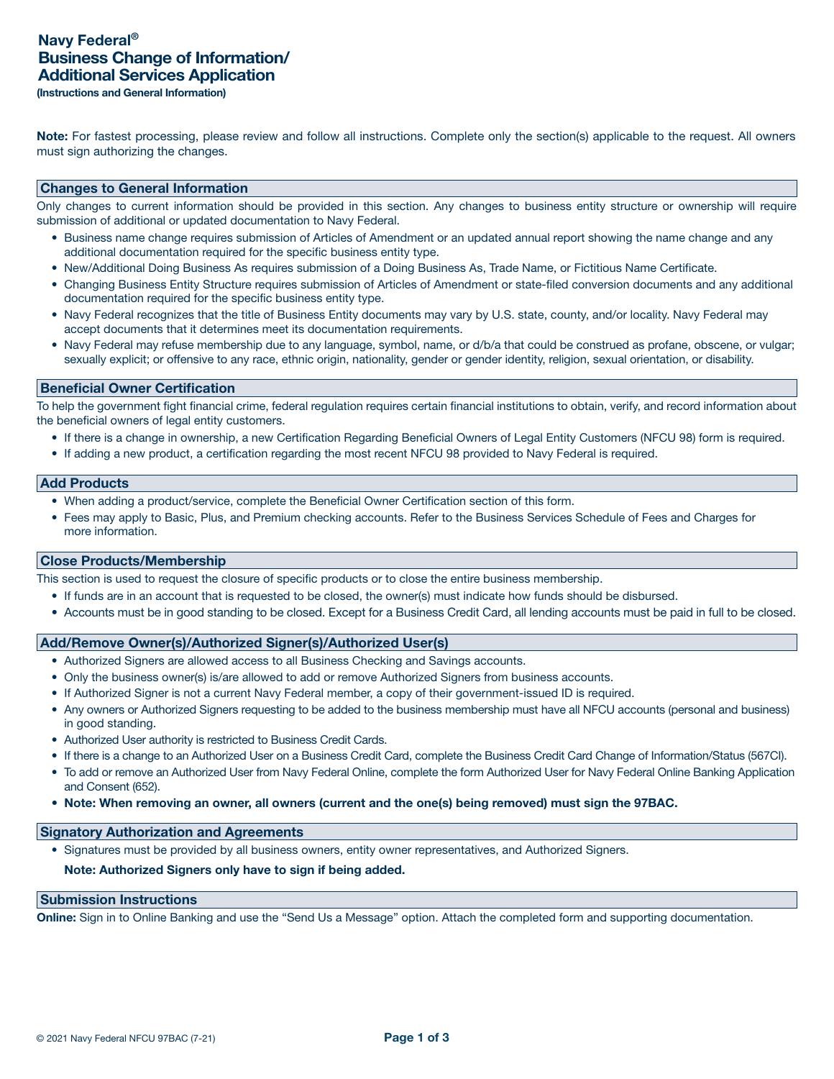Note: For fastest processing, please review and follow all instructions. Complete only the section(s) applicable to the request. All owners must sign authorizing the changes.

## Changes to General Information

Only changes to current information should be provided in this section. Any changes to business entity structure or ownership will require submission of additional or updated documentation to Navy Federal.

- Business name change requires submission of Articles of Amendment or an updated annual report showing the name change and any additional documentation required for the specific business entity type.
- New/Additional Doing Business As requires submission of a Doing Business As, Trade Name, or Fictitious Name Certificate.
- Changing Business Entity Structure requires submission of Articles of Amendment or state-filed conversion documents and any additional documentation required for the specific business entity type.
- Navy Federal recognizes that the title of Business Entity documents may vary by U.S. state, county, and/or locality. Navy Federal may accept documents that it determines meet its documentation requirements.
- Navy Federal may refuse membership due to any language, symbol, name, or d/b/a that could be construed as profane, obscene, or vulgar; sexually explicit; or offensive to any race, ethnic origin, nationality, gender or gender identity, religion, sexual orientation, or disability.

#### Beneficial Owner Certification

To help the government fight financial crime, federal regulation requires certain financial institutions to obtain, verify, and record information about the beneficial owners of legal entity customers.

- If there is a change in ownership, a new Certification Regarding Beneficial Owners of Legal Entity Customers (NFCU 98) form is required.
- If adding a new product, a certification regarding the most recent NFCU 98 provided to Navy Federal is required.

#### Add Products

- When adding a product/service, complete the Beneficial Owner Certification section of this form.
- Fees may apply to Basic, Plus, and Premium checking accounts. Refer to the Business Services Schedule of Fees and Charges for more information.

## Close Products/Membership

This section is used to request the closure of specific products or to close the entire business membership.

- If funds are in an account that is requested to be closed, the owner(s) must indicate how funds should be disbursed.
- Accounts must be in good standing to be closed. Except for a Business Credit Card, all lending accounts must be paid in full to be closed.

#### Add/Remove Owner(s)/Authorized Signer(s)/Authorized User(s)

- Authorized Signers are allowed access to all Business Checking and Savings accounts.
- Only the business owner(s) is/are allowed to add or remove Authorized Signers from business accounts.
- If Authorized Signer is not a current Navy Federal member, a copy of their government-issued ID is required.
- Any owners or Authorized Signers requesting to be added to the business membership must have all NFCU accounts (personal and business) in good standing.
- Authorized User authority is restricted to Business Credit Cards.
- If there is a change to an Authorized User on a Business Credit Card, complete the Business Credit Card Change of Information/Status (567CI).
- To add or remove an Authorized User from Navy Federal Online, complete the form Authorized User for Navy Federal Online Banking Application and Consent (652).
- Note: When removing an owner, all owners (current and the one(s) being removed) must sign the 97BAC.

### Signatory Authorization and Agreements

• Signatures must be provided by all business owners, entity owner representatives, and Authorized Signers.

### Note: Authorized Signers only have to sign if being added.

# Submission Instructions

Online: Sign in to Online Banking and use the "Send Us a Message" option. Attach the completed form and supporting documentation.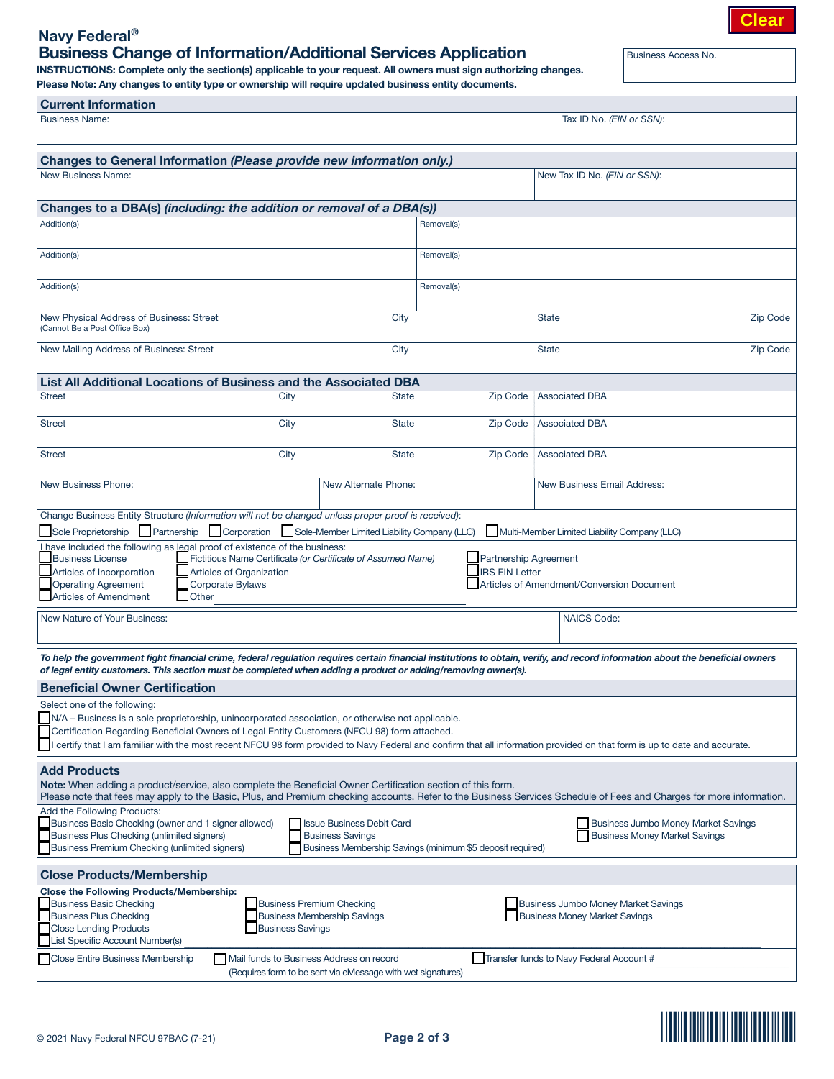# **Clear**

# Navy Federal® Business Change of Information/Additional Services Application

INSTRUCTIONS: Complete only the section(s) applicable to your request. All owners must sign authorizing changes. Please Note: Any changes to entity type or ownership will require updated business entity documents.

Business Access No.

| <b>Current Information</b>                                                                                                                                                                                                                                                                                                                                                                                                                  |                                                                                                   |                 |                                                                                    |                 |  |  |  |  |
|---------------------------------------------------------------------------------------------------------------------------------------------------------------------------------------------------------------------------------------------------------------------------------------------------------------------------------------------------------------------------------------------------------------------------------------------|---------------------------------------------------------------------------------------------------|-----------------|------------------------------------------------------------------------------------|-----------------|--|--|--|--|
| <b>Business Name:</b>                                                                                                                                                                                                                                                                                                                                                                                                                       |                                                                                                   |                 | Tax ID No. (EIN or SSN):                                                           |                 |  |  |  |  |
| Changes to General Information (Please provide new information only.)                                                                                                                                                                                                                                                                                                                                                                       |                                                                                                   |                 |                                                                                    |                 |  |  |  |  |
| <b>New Business Name:</b>                                                                                                                                                                                                                                                                                                                                                                                                                   | New Tax ID No. (EIN or SSN):                                                                      |                 |                                                                                    |                 |  |  |  |  |
| Changes to a DBA(s) (including: the addition or removal of a DBA(s))                                                                                                                                                                                                                                                                                                                                                                        |                                                                                                   |                 |                                                                                    |                 |  |  |  |  |
| Addition(s)<br>Removal(s)                                                                                                                                                                                                                                                                                                                                                                                                                   |                                                                                                   |                 |                                                                                    |                 |  |  |  |  |
| Addition(s)                                                                                                                                                                                                                                                                                                                                                                                                                                 |                                                                                                   | Removal(s)      |                                                                                    |                 |  |  |  |  |
| Addition(s)                                                                                                                                                                                                                                                                                                                                                                                                                                 |                                                                                                   | Removal(s)      |                                                                                    |                 |  |  |  |  |
| New Physical Address of Business: Street<br>(Cannot Be a Post Office Box)                                                                                                                                                                                                                                                                                                                                                                   | City                                                                                              |                 | <b>State</b>                                                                       | <b>Zip Code</b> |  |  |  |  |
| New Mailing Address of Business: Street                                                                                                                                                                                                                                                                                                                                                                                                     | City                                                                                              |                 | <b>State</b>                                                                       | <b>Zip Code</b> |  |  |  |  |
| <b>List All Additional Locations of Business and the Associated DBA</b>                                                                                                                                                                                                                                                                                                                                                                     |                                                                                                   |                 |                                                                                    |                 |  |  |  |  |
| <b>Street</b>                                                                                                                                                                                                                                                                                                                                                                                                                               | City<br><b>State</b>                                                                              | <b>Zip Code</b> | <b>Associated DBA</b>                                                              |                 |  |  |  |  |
| <b>Street</b>                                                                                                                                                                                                                                                                                                                                                                                                                               | City<br><b>State</b>                                                                              | <b>Zip Code</b> | <b>Associated DBA</b>                                                              |                 |  |  |  |  |
| <b>Street</b>                                                                                                                                                                                                                                                                                                                                                                                                                               | City<br><b>State</b>                                                                              | Zip Code        | <b>Associated DBA</b>                                                              |                 |  |  |  |  |
| <b>New Business Phone:</b>                                                                                                                                                                                                                                                                                                                                                                                                                  | <b>New Alternate Phone:</b>                                                                       |                 | <b>New Business Email Address:</b>                                                 |                 |  |  |  |  |
| Change Business Entity Structure (Information will not be changed unless proper proof is received):                                                                                                                                                                                                                                                                                                                                         |                                                                                                   |                 |                                                                                    |                 |  |  |  |  |
| Sole Proprietorship Partnership Corporation                                                                                                                                                                                                                                                                                                                                                                                                 | Sole-Member Limited Liability Company (LLC)                                                       |                 | Multi-Member Limited Liability Company (LLC)                                       |                 |  |  |  |  |
| Lhave included the following as legal proof of existence of the business:<br><b>Business License</b><br>Fictitious Name Certificate (or Certificate of Assumed Name)<br><b>Partnership Agreement</b><br><b>RS EIN Letter</b><br>Articles of Incorporation<br><b>Articles of Organization</b><br><b>Operating Agreement</b><br><b>Corporate Bylaws</b><br>Articles of Amendment/Conversion Document<br><b>Articles of Amendment</b><br>Other |                                                                                                   |                 |                                                                                    |                 |  |  |  |  |
| New Nature of Your Business:                                                                                                                                                                                                                                                                                                                                                                                                                |                                                                                                   |                 | <b>NAICS Code:</b>                                                                 |                 |  |  |  |  |
| To help the government fight financial crime, federal regulation requires certain financial institutions to obtain, verify, and record information about the beneficial owners<br>of legal entity customers. This section must be completed when adding a product or adding/removing owner(s).                                                                                                                                              |                                                                                                   |                 |                                                                                    |                 |  |  |  |  |
| <b>Beneficial Owner Certification</b>                                                                                                                                                                                                                                                                                                                                                                                                       |                                                                                                   |                 |                                                                                    |                 |  |  |  |  |
| Select one of the following:<br>N/A – Business is a sole proprietorship, unincorporated association, or otherwise not applicable.<br>Certification Regarding Beneficial Owners of Legal Entity Customers (NFCU 98) form attached.<br>certify that I am familiar with the most recent NFCU 98 form provided to Navy Federal and confirm that all information provided on that form is up to date and accurate.                               |                                                                                                   |                 |                                                                                    |                 |  |  |  |  |
| <b>Add Products</b><br>Note: When adding a product/service, also complete the Beneficial Owner Certification section of this form.<br>Please note that fees may apply to the Basic, Plus, and Premium checking accounts. Refer to the Business Services Schedule of Fees and Charges for more information.                                                                                                                                  |                                                                                                   |                 |                                                                                    |                 |  |  |  |  |
| Add the Following Products:<br>Business Basic Checking (owner and 1 signer allowed)<br><b>Issue Business Debit Card</b><br><b>Business Jumbo Money Market Savings</b><br>Business Plus Checking (unlimited signers)<br><b>Business Money Market Savings</b><br><b>Business Savings</b><br>Business Premium Checking (unlimited signers)<br>Business Membership Savings (minimum \$5 deposit required)                                       |                                                                                                   |                 |                                                                                    |                 |  |  |  |  |
| <b>Close Products/Membership</b>                                                                                                                                                                                                                                                                                                                                                                                                            |                                                                                                   |                 |                                                                                    |                 |  |  |  |  |
| <b>Close the Following Products/Membership:</b><br><b>Business Basic Checking</b><br><b>Business Plus Checking</b><br><b>Close Lending Products</b><br>List Specific Account Number(s)                                                                                                                                                                                                                                                      | <b>Business Premium Checking</b><br><b>Business Membership Savings</b><br><b>Business Savings</b> |                 | <b>Business Jumbo Money Market Savings</b><br><b>Business Money Market Savings</b> |                 |  |  |  |  |
| Mail funds to Business Address on record<br>Transfer funds to Navy Federal Account #<br><b>Close Entire Business Membership</b><br>(Requires form to be sent via eMessage with wet signatures)                                                                                                                                                                                                                                              |                                                                                                   |                 |                                                                                    |                 |  |  |  |  |